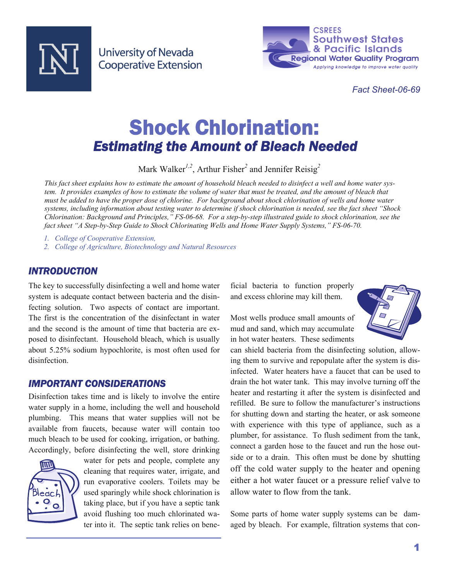

**University of Nevada Cooperative Extension** 



*Fact Sheet-06-69* 

# Shock Chlorination: *Estimating the Amount of Bleach Needed*

Mark Walker*1,2*, Arthur Fisher*<sup>2</sup>* and Jennifer Reisig*<sup>2</sup>*

*This fact sheet explains how to estimate the amount of household bleach needed to disinfect a well and home water system. It provides examples of how to estimate the volume of water that must be treated, and the amount of bleach that must be added to have the proper dose of chlorine. For background about shock chlorination of wells and home water systems, including information about testing water to determine if shock chlorination is needed, see the fact sheet "Shock Chlorination: Background and Principles," FS-06-68. For a step-by-step illustrated guide to shock chlorination, see the fact sheet "A Step-by-Step Guide to Shock Chlorinating Wells and Home Water Supply Systems," FS-06-70.* 

- *1. College of Cooperative Extension,*
- *2. College of Agriculture, Biotechnology and Natural Resources*

#### *INTRODUCTION*

The key to successfully disinfecting a well and home water system is adequate contact between bacteria and the disinfecting solution. Two aspects of contact are important. The first is the concentration of the disinfectant in water and the second is the amount of time that bacteria are exposed to disinfectant. Household bleach, which is usually about 5.25% sodium hypochlorite, is most often used for disinfection.

#### *IMPORTANT CONSIDERATIONS*

Disinfection takes time and is likely to involve the entire water supply in a home, including the well and household plumbing. This means that water supplies will not be available from faucets, because water will contain too much bleach to be used for cooking, irrigation, or bathing. Accordingly, before disinfecting the well, store drinking



water for pets and people, complete any cleaning that requires water, irrigate, and run evaporative coolers. Toilets may be used sparingly while shock chlorination is taking place, but if you have a septic tank avoid flushing too much chlorinated water into it. The septic tank relies on beneficial bacteria to function properly and excess chlorine may kill them.

Most wells produce small amounts of mud and sand, which may accumulate in hot water heaters. These sediments



can shield bacteria from the disinfecting solution, allowing them to survive and repopulate after the system is disinfected. Water heaters have a faucet that can be used to drain the hot water tank. This may involve turning off the heater and restarting it after the system is disinfected and refilled. Be sure to follow the manufacturer's instructions for shutting down and starting the heater, or ask someone with experience with this type of appliance, such as a plumber, for assistance. To flush sediment from the tank, connect a garden hose to the faucet and run the hose outside or to a drain. This often must be done by shutting off the cold water supply to the heater and opening either a hot water faucet or a pressure relief valve to allow water to flow from the tank.

Some parts of home water supply systems can be damaged by bleach. For example, filtration systems that con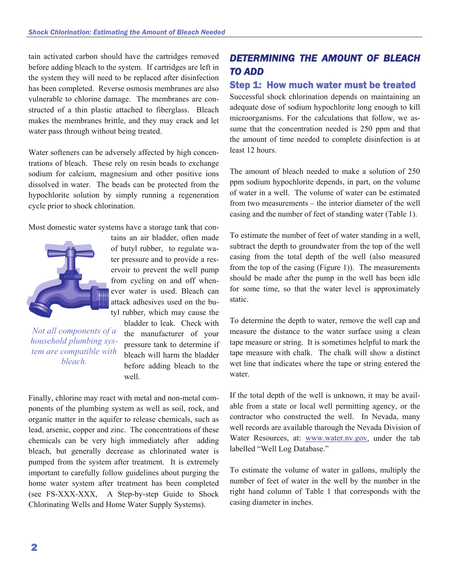tain activated carbon should have the cartridges removed before adding bleach to the system. If cartridges are left in the system they will need to be replaced after disinfection has been completed. Reverse osmosis membranes are also vulnerable to chlorine damage. The membranes are constructed of a thin plastic attached to fiberglass. Bleach makes the membranes brittle, and they may crack and let water pass through without being treated.

Water softeners can be adversely affected by high concentrations of bleach. These rely on resin beads to exchange sodium for calcium, magnesium and other positive ions dissolved in water. The beads can be protected from the hypochlorite solution by simply running a regeneration cycle prior to shock chlorination.

Most domestic water systems have a storage tank that con-



*Not all components of a household plumbing system are compatible with bleach.* 

tains an air bladder, often made of butyl rubber, to regulate water pressure and to provide a reservoir to prevent the well pump from cycling on and off whenever water is used. Bleach can attack adhesives used on the butyl rubber, which may cause the

> bladder to leak. Check with the manufacturer of your pressure tank to determine if bleach will harm the bladder before adding bleach to the well.

Finally, chlorine may react with metal and non-metal components of the plumbing system as well as soil, rock, and organic matter in the aquifer to release chemicals, such as lead, arsenic, copper and zinc. The concentrations of these chemicals can be very high immediately after adding bleach, but generally decrease as chlorinated water is pumped from the system after treatment. It is extremely important to carefully follow guidelines about purging the home water system after treatment has been completed (see FS-XXX-XXX, A Step-by-step Guide to Shock Chlorinating Wells and Home Water Supply Systems).

## *DETERMINING THE AMOUNT OF BLEACH TO ADD*

#### Step 1: How much water must be treated

Successful shock chlorination depends on maintaining an adequate dose of sodium hypochlorite long enough to kill microorganisms. For the calculations that follow, we assume that the concentration needed is 250 ppm and that the amount of time needed to complete disinfection is at least 12 hours.

The amount of bleach needed to make a solution of 250 ppm sodium hypochlorite depends, in part, on the volume of water in a well. The volume of water can be estimated from two measurements – the interior diameter of the well casing and the number of feet of standing water (Table 1).

To estimate the number of feet of water standing in a well, subtract the depth to groundwater from the top of the well casing from the total depth of the well (also measured from the top of the casing (Figure 1)). The measurements should be made after the pump in the well has been idle for some time, so that the water level is approximately static.

To determine the depth to water, remove the well cap and measure the distance to the water surface using a clean tape measure or string. It is sometimes helpful to mark the tape measure with chalk. The chalk will show a distinct wet line that indicates where the tape or string entered the water.

If the total depth of the well is unknown, it may be available from a state or local well permitting agency, or the contractor who constructed the well. In Nevada, many well records are available tharough the Nevada Division of Water Resources, at: www.water.nv.gov, under the tab labelled "Well Log Database."

To estimate the volume of water in gallons, multiply the number of feet of water in the well by the number in the right hand column of Table 1 that corresponds with the casing diameter in inches.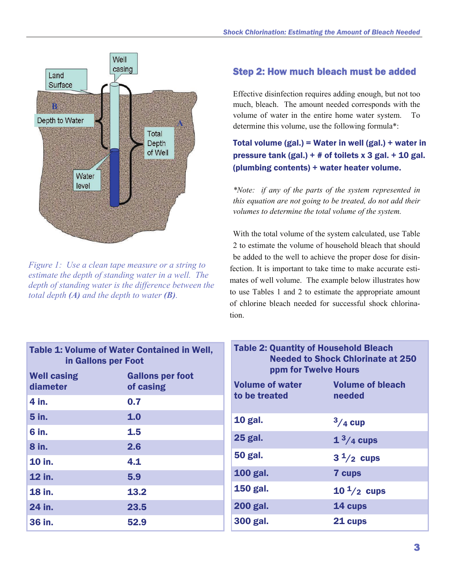

*Figure 1: Use a clean tape measure or a string to estimate the depth of standing water in a well. The depth of standing water is the difference between the total depth (A) and the depth to water (B).* 

#### Step 2: How much bleach must be added

Effective disinfection requires adding enough, but not too much, bleach. The amount needed corresponds with the volume of water in the entire home water system. To determine this volume, use the following formula\*:

Total volume (gal.) = Water in well (gal.) + water in pressure tank (gal.) +  $\#$  of toilets x 3 gal. + 10 gal. (plumbing contents) + water heater volume.

*\*Note: if any of the parts of the system represented in this equation are not going to be treated, do not add their volumes to determine the total volume of the system.* 

With the total volume of the system calculated, use Table 2 to estimate the volume of household bleach that should be added to the well to achieve the proper dose for disinfection. It is important to take time to make accurate estimates of well volume. The example below illustrates how to use Tables 1 and 2 to estimate the appropriate amount of chlorine bleach needed for successful shock chlorination.

| <b>Table 1: Volume of Water Contained in Well,</b><br>in Gallons per Foot |                                      | <b>Table 2: Quantity of Household Bleach</b><br><b>Needed to Shock Chlorinate at 250</b><br>ppm for Twelve Hours |                         |
|---------------------------------------------------------------------------|--------------------------------------|------------------------------------------------------------------------------------------------------------------|-------------------------|
| <b>Well casing</b><br>diameter                                            | <b>Gallons per foot</b><br>of casing | <b>Volume of water</b>                                                                                           | <b>Volume of bleach</b> |
| 4 in.                                                                     | 0.7                                  | to be treated                                                                                                    | needed                  |
| 5 in.                                                                     | 1.0                                  | <b>10 gal.</b>                                                                                                   | $3/4$ cup               |
| 6 in.                                                                     | 1.5                                  | <b>25 gal.</b>                                                                                                   | $13/4$ cups             |
| 8 in.                                                                     | 2.6                                  |                                                                                                                  |                         |
| <b>10 in.</b>                                                             | 4.1                                  | <b>50 gal.</b>                                                                                                   | $3^{1/2}$ cups          |
| 12 in.                                                                    | 5.9                                  | <b>100 gal.</b>                                                                                                  | 7 cups                  |
| <b>18 in.</b>                                                             | 13.2                                 | <b>150 gal.</b>                                                                                                  | $10^{\frac{1}{2}}$ cups |
| 24 in.                                                                    | 23.5                                 | <b>200 gal.</b>                                                                                                  | 14 cups                 |
| 36 in.                                                                    | 52.9                                 | 300 gal.                                                                                                         | 21 cups                 |